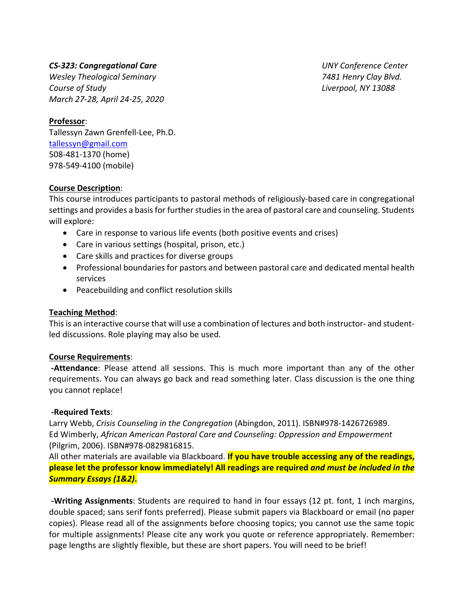#### *CS‐323: Congregational Care UNY Conference Center*

*Wesley Theological Seminary 7481 Henry Clay Blvd. Course of Study Liverpool, NY 13088 March 27‐28, April 24‐25, 2020* 

#### **Professor**:

Tallessyn Zawn Grenfell‐Lee, Ph.D. tallessyn@gmail.com 508‐481‐1370 (home) 978‐549‐4100 (mobile)

#### **Course Description**:

This course introduces participants to pastoral methods of religiously‐based care in congregational settings and provides a basis for further studies in the area of pastoral care and counseling. Students will explore:

- Care in response to various life events (both positive events and crises)
- Care in various settings (hospital, prison, etc.)
- Care skills and practices for diverse groups
- Professional boundaries for pastors and between pastoral care and dedicated mental health services
- Peacebuilding and conflict resolution skills

#### **Teaching Method**:

This is an interactive course that will use a combination of lectures and both instructor‐ and student‐ led discussions. Role playing may also be used.

#### **Course Requirements**:

 **‐Attendance**: Please attend all sessions. This is much more important than any of the other requirements. You can always go back and read something later. Class discussion is the one thing you cannot replace!

#### **‐Required Texts**:

Larry Webb, *Crisis Counseling in the Congregation* (Abingdon, 2011). ISBN#978‐1426726989. Ed Wimberly, *African American Pastoral Care and Counseling: Oppression and Empowerment*  (Pilgrim, 2006). ISBN#978‐0829816815.

All other materials are available via Blackboard. **If you have trouble accessing any of the readings, please let the professor know immediately! All readings are required** *and must be included in the Summary Essays (1&2)***.**

 **‐Writing Assignments**: Students are required to hand in four essays (12 pt. font, 1 inch margins, double spaced; sans serif fonts preferred). Please submit papers via Blackboard or email (no paper copies). Please read all of the assignments before choosing topics; you cannot use the same topic for multiple assignments! Please cite any work you quote or reference appropriately. Remember: page lengths are slightly flexible, but these are short papers. You will need to be brief!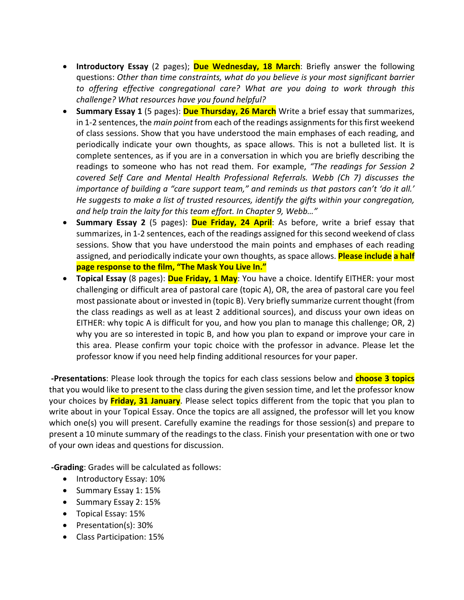- **•** Introductory Essay (2 pages); **Due Wednesday, 18 March**: Briefly answer the following questions: *Other than time constraints, what do you believe is your most significant barrier to offering effective congregational care? What are you doing to work through this challenge? What resources have you found helpful?*
- **Summary Essay 1** (5 pages): **Due Thursday, 26 March** Write a brief essay that summarizes, in 1‐2 sentences, the *main point* from each of the readings assignments for this first weekend of class sessions. Show that you have understood the main emphases of each reading, and periodically indicate your own thoughts, as space allows. This is not a bulleted list. It is complete sentences, as if you are in a conversation in which you are briefly describing the readings to someone who has not read them. For example, *"The readings for Session 2 covered Self Care and Mental Health Professional Referrals. Webb (Ch 7) discusses the importance of building a "care support team," and reminds us that pastors can't 'do it all.' He suggests to make a list of trusted resources, identify the gifts within your congregation, and help train the laity for this team effort. In Chapter 9, Webb…"*
- **Summary Essay 2** (5 pages): **Due Friday, 24 April**: As before, write a brief essay that summarizes, in 1‐2 sentences, each of the readings assigned for this second weekend of class sessions. Show that you have understood the main points and emphases of each reading assigned, and periodically indicate your own thoughts, as space allows. **Please include a half page response to the film, "The Mask You Live In."**
- **Topical Essay** (8 pages): **Due Friday, 1 May**: You have a choice. Identify EITHER: your most challenging or difficult area of pastoral care (topic A), OR, the area of pastoral care you feel most passionate about or invested in (topic B). Very briefly summarize current thought (from the class readings as well as at least 2 additional sources), and discuss your own ideas on EITHER: why topic A is difficult for you, and how you plan to manage this challenge; OR, 2) why you are so interested in topic B, and how you plan to expand or improve your care in this area. Please confirm your topic choice with the professor in advance. Please let the professor know if you need help finding additional resources for your paper.

 **‐Presentations**: Please look through the topics for each class sessions below and **choose 3 topics** that you would like to present to the class during the given session time, and let the professor know your choices by **Friday, 31 January**. Please select topics different from the topic that you plan to write about in your Topical Essay. Once the topics are all assigned, the professor will let you know which one(s) you will present. Carefully examine the readings for those session(s) and prepare to present a 10 minute summary of the readings to the class. Finish your presentation with one or two of your own ideas and questions for discussion.

 **‐Grading**: Grades will be calculated as follows:

- Introductory Essay: 10%
- Summary Essay 1: 15%
- Summary Essay 2: 15%
- Topical Essay: 15%
- Presentation(s): 30%
- Class Participation: 15%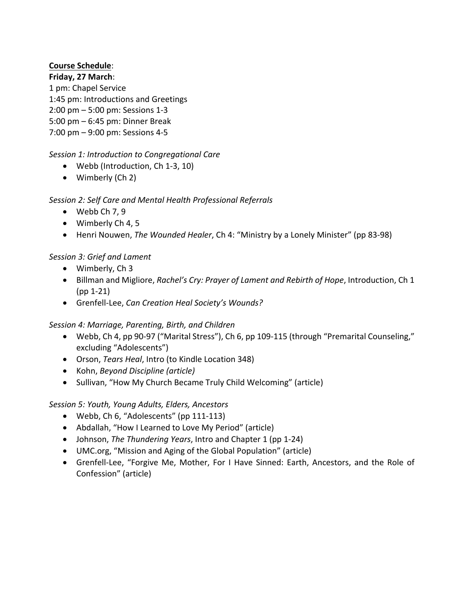## **Course Schedule**:

**Friday, 27 March**: 1 pm: Chapel Service 1:45 pm: Introductions and Greetings 2:00 pm – 5:00 pm: Sessions 1‐3 5:00 pm – 6:45 pm: Dinner Break 7:00 pm – 9:00 pm: Sessions 4‐5

# *Session 1: Introduction to Congregational Care*

- Webb (Introduction, Ch 1-3, 10)
- Wimberly (Ch 2)

### *Session 2: Self Care and Mental Health Professional Referrals*

- $\bullet$  Webb Ch 7, 9
- Wimberly Ch 4, 5
- Henri Nouwen, *The Wounded Healer*, Ch 4: "Ministry by a Lonely Minister" (pp 83‐98)

## *Session 3: Grief and Lament*

- Wimberly, Ch 3
- Billman and Migliore, *Rachel's Cry: Prayer of Lament and Rebirth of Hope*, Introduction, Ch 1 (pp 1‐21)
- Grenfell‐Lee, *Can Creation Heal Society's Wounds?*

*Session 4: Marriage, Parenting, Birth, and Children* 

- Webb, Ch 4, pp 90‐97 ("Marital Stress"), Ch 6, pp 109‐115 (through "Premarital Counseling," excluding "Adolescents")
- Orson, *Tears Heal*, Intro (to Kindle Location 348)
- Kohn, *Beyond Discipline (article)*
- Sullivan, "How My Church Became Truly Child Welcoming" (article)

### *Session 5: Youth, Young Adults, Elders, Ancestors*

- Webb, Ch 6, "Adolescents" (pp 111‐113)
- Abdallah, "How I Learned to Love My Period" (article)
- Johnson, *The Thundering Years*, Intro and Chapter 1 (pp 1‐24)
- UMC.org, "Mission and Aging of the Global Population" (article)
- Grenfell-Lee, "Forgive Me, Mother, For I Have Sinned: Earth, Ancestors, and the Role of Confession" (article)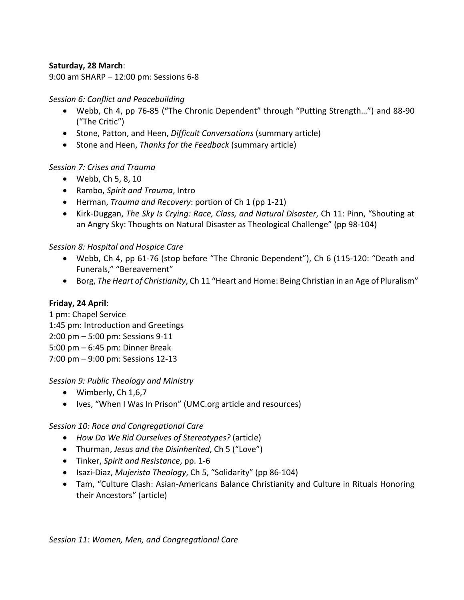### **Saturday, 28 March**:

9:00 am SHARP – 12:00 pm: Sessions 6‐8

#### *Session 6: Conflict and Peacebuilding*

- Webb, Ch 4, pp 76‐85 ("The Chronic Dependent" through "Putting Strength…") and 88‐90 ("The Critic")
- Stone, Patton, and Heen, *Difficult Conversations* (summary article)
- Stone and Heen, *Thanks for the Feedback* (summary article)

### *Session 7: Crises and Trauma*

- Webb, Ch 5, 8, 10
- Rambo, *Spirit and Trauma*, Intro
- Herman, *Trauma and Recovery*: portion of Ch 1 (pp 1‐21)
- Kirk‐Duggan, *The Sky Is Crying: Race, Class, and Natural Disaster*, Ch 11: Pinn, "Shouting at an Angry Sky: Thoughts on Natural Disaster as Theological Challenge" (pp 98‐104)

### *Session 8: Hospital and Hospice Care*

- Webb, Ch 4, pp 61‐76 (stop before "The Chronic Dependent"), Ch 6 (115‐120: "Death and Funerals," "Bereavement"
- Borg, *The Heart of Christianity*, Ch 11 "Heart and Home: Being Christian in an Age of Pluralism"

### **Friday, 24 April**:

1 pm: Chapel Service 1:45 pm: Introduction and Greetings 2:00 pm – 5:00 pm: Sessions 9‐11 5:00 pm – 6:45 pm: Dinner Break 7:00 pm – 9:00 pm: Sessions 12‐13

#### *Session 9: Public Theology and Ministry*

- $\bullet$  Wimberly, Ch 1,6,7
- Ives, "When I Was In Prison" (UMC.org article and resources)

### *Session 10: Race and Congregational Care*

- *How Do We Rid Ourselves of Stereotypes?* (article)
- Thurman, *Jesus and the Disinherited*, Ch 5 ("Love")
- Tinker, *Spirit and Resistance*, pp. 1‐6
- Isazi‐Diaz, *Mujerista Theology*, Ch 5, "Solidarity" (pp 86‐104)
- Tam, "Culture Clash: Asian‐Americans Balance Christianity and Culture in Rituals Honoring their Ancestors" (article)

*Session 11: Women, Men, and Congregational Care*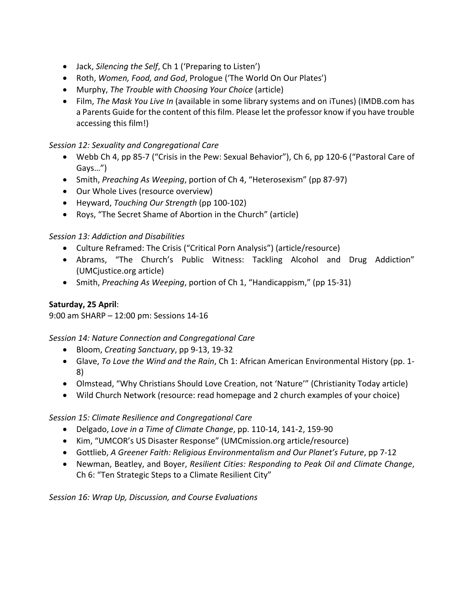- Jack, *Silencing the Self*, Ch 1 ('Preparing to Listen')
- Roth, *Women, Food, and God*, Prologue ('The World On Our Plates')
- Murphy, *The Trouble with Choosing Your Choice* (article)
- Film, *The Mask You Live In* (available in some library systems and on iTunes) (IMDB.com has a Parents Guide for the content of this film. Please let the professor know if you have trouble accessing this film!)

#### *Session 12: Sexuality and Congregational Care*

- Webb Ch 4, pp 85-7 ("Crisis in the Pew: Sexual Behavior"), Ch 6, pp 120-6 ("Pastoral Care of Gays…")
- Smith, *Preaching As Weeping*, portion of Ch 4, "Heterosexism" (pp 87‐97)
- Our Whole Lives (resource overview)
- Heyward, *Touching Our Strength* (pp 100‐102)
- Roys, "The Secret Shame of Abortion in the Church" (article)

#### *Session 13: Addiction and Disabilities*

- Culture Reframed: The Crisis ("Critical Porn Analysis") (article/resource)
- Abrams, "The Church's Public Witness: Tackling Alcohol and Drug Addiction" (UMCjustice.org article)
- Smith, *Preaching As Weeping*, portion of Ch 1, "Handicappism," (pp 15‐31)

### **Saturday, 25 April**:

9:00 am SHARP – 12:00 pm: Sessions 14‐16

*Session 14: Nature Connection and Congregational Care*

- Bloom, *Creating Sanctuary*, pp 9‐13, 19‐32
- Glave, *To Love the Wind and the Rain*, Ch 1: African American Environmental History (pp. 1‐ 8)
- Olmstead, "Why Christians Should Love Creation, not 'Nature'" (Christianity Today article)
- Wild Church Network (resource: read homepage and 2 church examples of your choice)

#### *Session 15: Climate Resilience and Congregational Care*

- Delgado, *Love in a Time of Climate Change*, pp. 110‐14, 141‐2, 159‐90
- Kim, "UMCOR's US Disaster Response" (UMCmission.org article/resource)
- Gottlieb, *A Greener Faith: Religious Environmentalism and Our Planet's Future*, pp 7‐12
- Newman, Beatley, and Boyer, *Resilient Cities: Responding to Peak Oil and Climate Change*, Ch 6: "Ten Strategic Steps to a Climate Resilient City"

*Session 16: Wrap Up, Discussion, and Course Evaluations*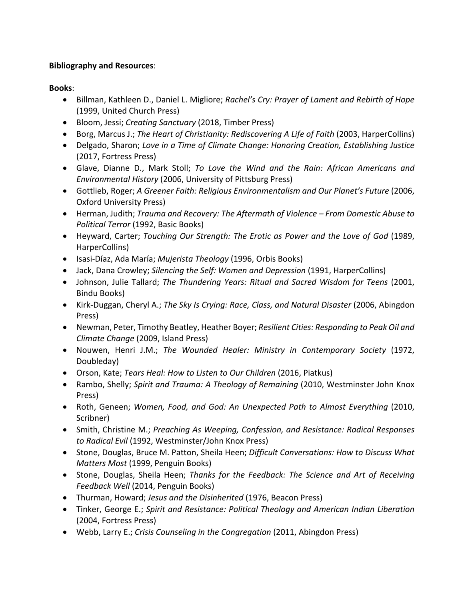## **Bibliography and Resources**:

## **Books**:

- Billman, Kathleen D., Daniel L. Migliore; *Rachel's Cry: Prayer of Lament and Rebirth of Hope*  (1999, United Church Press)
- Bloom, Jessi; *Creating Sanctuary* (2018, Timber Press)
- Borg, Marcus J.; *The Heart of Christianity: Rediscovering A Life of Faith* (2003, HarperCollins)
- Delgado, Sharon; *Love in a Time of Climate Change: Honoring Creation, Establishing Justice* (2017, Fortress Press)
- Glave, Dianne D., Mark Stoll; *To Love the Wind and the Rain: African Americans and Environmental History* (2006, University of Pittsburg Press)
- Gottlieb, Roger; *A Greener Faith: Religious Environmentalism and Our Planet's Future* (2006, Oxford University Press)
- Herman, Judith; *Trauma and Recovery: The Aftermath of Violence From Domestic Abuse to Political Terror* (1992, Basic Books)
- Heyward, Carter; *Touching Our Strength: The Erotic as Power and the Love of God* (1989, HarperCollins)
- Isasi‐Díaz, Ada María; *Mujerista Theology* (1996, Orbis Books)
- Jack, Dana Crowley; *Silencing the Self: Women and Depression* (1991, HarperCollins)
- Johnson, Julie Tallard; *The Thundering Years: Ritual and Sacred Wisdom for Teens* (2001, Bindu Books)
- Kirk‐Duggan, Cheryl A.; *The Sky Is Crying: Race, Class, and Natural Disaster* (2006, Abingdon Press)
- Newman, Peter, Timothy Beatley, Heather Boyer; *Resilient Cities: Responding to Peak Oil and Climate Change* (2009, Island Press)
- Nouwen, Henri J.M.; *The Wounded Healer: Ministry in Contemporary Society* (1972, Doubleday)
- Orson, Kate; *Tears Heal: How to Listen to Our Children* (2016, Piatkus)
- Rambo, Shelly; *Spirit and Trauma: A Theology of Remaining* (2010, Westminster John Knox Press)
- Roth, Geneen; Women, Food, and God: An Unexpected Path to Almost Everything (2010, Scribner)
- Smith, Christine M.; *Preaching As Weeping, Confession, and Resistance: Radical Responses to Radical Evil* (1992, Westminster/John Knox Press)
- Stone, Douglas, Bruce M. Patton, Sheila Heen; *Difficult Conversations: How to Discuss What Matters Most* (1999, Penguin Books)
- Stone, Douglas, Sheila Heen; *Thanks for the Feedback: The Science and Art of Receiving Feedback Well* (2014, Penguin Books)
- Thurman, Howard; *Jesus and the Disinherited* (1976, Beacon Press)
- Tinker, George E.; *Spirit and Resistance: Political Theology and American Indian Liberation* (2004, Fortress Press)
- Webb, Larry E.; *Crisis Counseling in the Congregation* (2011, Abingdon Press)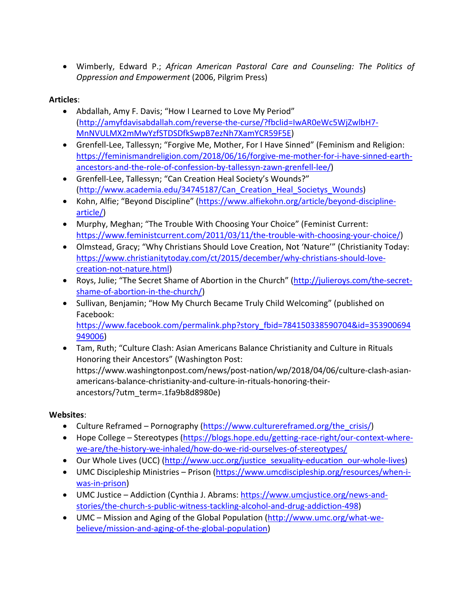Wimberly, Edward P.; *African American Pastoral Care and Counseling: The Politics of Oppression and Empowerment* (2006, Pilgrim Press)

## **Articles**:

- Abdallah, Amy F. Davis; "How I Learned to Love My Period" (http://amyfdavisabdallah.com/reverse‐the‐curse/?fbclid=IwAR0eWc5WjZwlbH7‐ MnNVULMX2mMwYzfSTDSDfkSwpB7ezNh7XamYCR59F5E)
- Grenfell-Lee, Tallessyn; "Forgive Me, Mother, For I Have Sinned" (Feminism and Religion: https://feminismandreligion.com/2018/06/16/forgive-me-mother-for-i-have-sinned-earthancestors‐and‐the‐role‐of‐confession‐by‐tallessyn‐zawn‐grenfell‐lee/)
- Grenfell-Lee, Tallessyn; "Can Creation Heal Society's Wounds?" (http://www.academia.edu/34745187/Can Creation Heal Societys Wounds)
- Kohn, Alfie; "Beyond Discipline" (https://www.alfiekohn.org/article/beyond-disciplinearticle/)
- Murphy, Meghan; "The Trouble With Choosing Your Choice" (Feminist Current: https://www.feministcurrent.com/2011/03/11/the-trouble-with-choosing-your-choice/)
- Olmstead, Gracy; "Why Christians Should Love Creation, Not 'Nature'" (Christianity Today: https://www.christianitytoday.com/ct/2015/december/why‐christians‐should‐love‐ creation‐not‐nature.html)
- Roys, Julie; "The Secret Shame of Abortion in the Church" (http://julieroys.com/the-secretshame‐of‐abortion‐in‐the‐church/)
- Sullivan, Benjamin; "How My Church Became Truly Child Welcoming" (published on Facebook:

https://www.facebook.com/permalink.php?story\_fbid=784150338590704&id=353900694 949006)

 Tam, Ruth; "Culture Clash: Asian Americans Balance Christianity and Culture in Rituals Honoring their Ancestors" (Washington Post: https://www.washingtonpost.com/news/post-nation/wp/2018/04/06/culture-clash-asianamericans‐balance‐christianity‐and‐culture‐in‐rituals‐honoring‐their‐ ancestors/?utm\_term=.1fa9b8d8980e)

# **Websites**:

- Culture Reframed Pornography (https://www.culturereframed.org/the\_crisis/)
- Hope College Stereotypes (https://blogs.hope.edu/getting-race-right/our-context-wherewe-are/the-history-we-inhaled/how-do-we-rid-ourselves-of-stereotypes/
- Our Whole Lives (UCC) (http://www.ucc.org/justice\_sexuality-education\_our-whole-lives)
- UMC Discipleship Ministries Prison (https://www.umcdiscipleship.org/resources/when‐i‐ was‐in‐prison)
- UMC Justice Addiction (Cynthia J. Abrams: https://www.umcjustice.org/news-andstories/the‐church‐s‐public‐witness‐tackling‐alcohol‐and‐drug‐addiction‐498)
- UMC Mission and Aging of the Global Population (http://www.umc.org/what-webelieve/mission‐and‐aging‐of‐the‐global‐population)